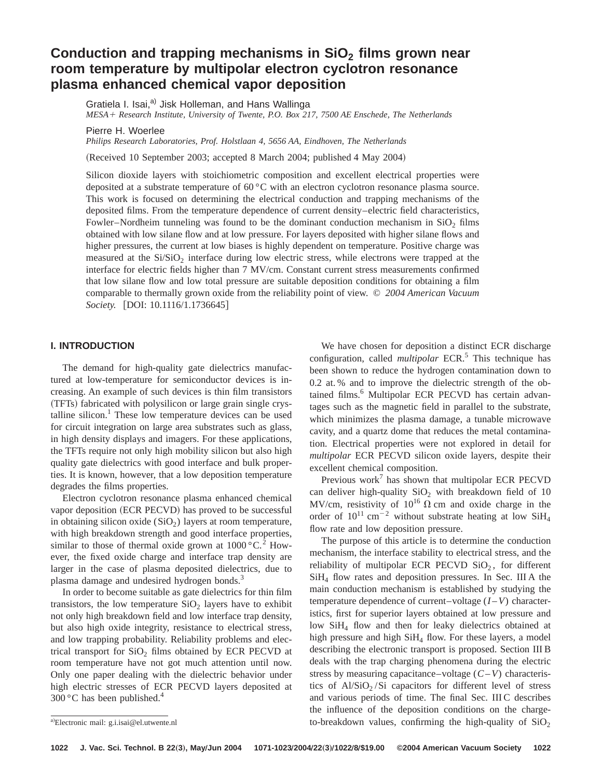# Conduction and trapping mechanisms in SiO<sub>2</sub> films grown near **room temperature by multipolar electron cyclotron resonance plasma enhanced chemical vapor deposition**

Gratiela I. Isai.<sup>a)</sup> Jisk Holleman, and Hans Wallinga *MESA*<sup>1</sup> *Research Institute, University of Twente, P.O. Box 217, 7500 AE Enschede, The Netherlands*

Pierre H. Woerlee

*Philips Research Laboratories, Prof. Holstlaan 4, 5656 AA, Eindhoven, The Netherlands*

(Received 10 September 2003; accepted 8 March 2004; published 4 May 2004)

Silicon dioxide layers with stoichiometric composition and excellent electrical properties were deposited at a substrate temperature of 60 °C with an electron cyclotron resonance plasma source. This work is focused on determining the electrical conduction and trapping mechanisms of the deposited films. From the temperature dependence of current density–electric field characteristics, Fowler–Nordheim tunneling was found to be the dominant conduction mechanism in  $SiO<sub>2</sub>$  films obtained with low silane flow and at low pressure. For layers deposited with higher silane flows and higher pressures, the current at low biases is highly dependent on temperature. Positive charge was measured at the  $Si/SiO<sub>2</sub>$  interface during low electric stress, while electrons were trapped at the interface for electric fields higher than 7 MV/cm. Constant current stress measurements confirmed that low silane flow and low total pressure are suitable deposition conditions for obtaining a film comparable to thermally grown oxide from the reliability point of view. © *2004 American Vacuum Society.* [DOI: 10.1116/1.1736645]

# **I. INTRODUCTION**

The demand for high-quality gate dielectrics manufactured at low-temperature for semiconductor devices is increasing. An example of such devices is thin film transistors (TFTs) fabricated with polysilicon or large grain single crystalline silicon. $<sup>1</sup>$  These low temperature devices can be used</sup> for circuit integration on large area substrates such as glass, in high density displays and imagers. For these applications, the TFTs require not only high mobility silicon but also high quality gate dielectrics with good interface and bulk properties. It is known, however, that a low deposition temperature degrades the films properties.

Electron cyclotron resonance plasma enhanced chemical vapor deposition (ECR PECVD) has proved to be successful in obtaining silicon oxide  $(SiO<sub>2</sub>)$  layers at room temperature, with high breakdown strength and good interface properties, similar to those of thermal oxide grown at  $1000\,^{\circ}\text{C}$ .<sup>2</sup> However, the fixed oxide charge and interface trap density are larger in the case of plasma deposited dielectrics, due to plasma damage and undesired hydrogen bonds.<sup>3</sup>

In order to become suitable as gate dielectrics for thin film transistors, the low temperature  $SiO<sub>2</sub>$  layers have to exhibit not only high breakdown field and low interface trap density, but also high oxide integrity, resistance to electrical stress, and low trapping probability. Reliability problems and electrical transport for  $SiO<sub>2</sub>$  films obtained by ECR PECVD at room temperature have not got much attention until now. Only one paper dealing with the dielectric behavior under high electric stresses of ECR PECVD layers deposited at  $300^{\circ}$ C has been published.<sup>4</sup>

We have chosen for deposition a distinct ECR discharge configuration, called *multipolar* ECR.<sup>5</sup> This technique has been shown to reduce the hydrogen contamination down to 0.2 at. % and to improve the dielectric strength of the obtained films.<sup>6</sup> Multipolar ECR PECVD has certain advantages such as the magnetic field in parallel to the substrate, which minimizes the plasma damage, a tunable microwave cavity, and a quartz dome that reduces the metal contamination. Electrical properties were not explored in detail for *multipolar* ECR PECVD silicon oxide layers, despite their excellent chemical composition.

Previous work<sup>7</sup> has shown that multipolar ECR PECVD can deliver high-quality  $SiO<sub>2</sub>$  with breakdown field of 10 MV/cm, resistivity of  $10^{16}$   $\Omega$  cm and oxide charge in the order of  $10^{11}$  cm<sup>-2</sup> without substrate heating at low SiH<sub>4</sub> flow rate and low deposition pressure.

The purpose of this article is to determine the conduction mechanism, the interface stability to electrical stress, and the reliability of multipolar ECR PECVD  $SiO<sub>2</sub>$ , for different  $SiH<sub>4</sub>$  flow rates and deposition pressures. In Sec. III A the main conduction mechanism is established by studying the temperature dependence of current–voltage (*I* –*V*) characteristics, first for superior layers obtained at low pressure and low SiH<sub>4</sub> flow and then for leaky dielectrics obtained at high pressure and high SiH<sub>4</sub> flow. For these layers, a model describing the electronic transport is proposed. Section III B deals with the trap charging phenomena during the electric stress by measuring capacitance–voltage (*C*–*V*) characteristics of  $Al/SiO<sub>2</sub>/Si$  capacitors for different level of stress and various periods of time. The final Sec. III C describes the influence of the deposition conditions on the chargeto-breakdown values, confirming the high-quality of  $SiO<sub>2</sub>$ 

a)Electronic mail: g.i.isai@el.utwente.nl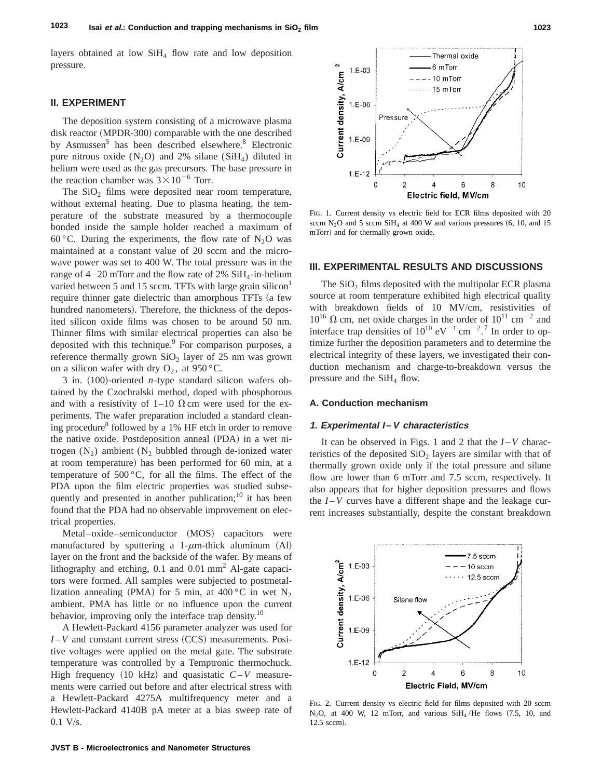layers obtained at low  $SiH<sub>4</sub>$  flow rate and low deposition pressure.

# **II. EXPERIMENT**

The deposition system consisting of a microwave plasma disk reactor (MPDR-300) comparable with the one described by Asmussen<sup>5</sup> has been described elsewhere.<sup>8</sup> Electronic pure nitrous oxide  $(N_2O)$  and 2% silane  $(SiH<sub>4</sub>)$  diluted in helium were used as the gas precursors. The base pressure in the reaction chamber was  $3 \times 10^{-6}$  Torr.

The  $SiO<sub>2</sub>$  films were deposited near room temperature, without external heating. Due to plasma heating, the temperature of the substrate measured by a thermocouple bonded inside the sample holder reached a maximum of 60 °C. During the experiments, the flow rate of  $N_2$ O was maintained at a constant value of 20 sccm and the microwave power was set to 400 W. The total pressure was in the range of  $4-20$  mTorr and the flow rate of 2% SiH<sub>4</sub>-in-helium varied between 5 and 15 sccm. TFTs with large grain silicon $<sup>1</sup>$ </sup> require thinner gate dielectric than amorphous TFTs (a few hundred nanometers). Therefore, the thickness of the deposited silicon oxide films was chosen to be around 50 nm. Thinner films with similar electrical properties can also be deposited with this technique.<sup>9</sup> For comparison purposes, a reference thermally grown  $SiO<sub>2</sub>$  layer of 25 nm was grown on a silicon wafer with dry  $O_2$ , at 950 °C.

3 in.  $(100)$ -oriented *n*-type standard silicon wafers obtained by the Czochralski method, doped with phosphorous and with a resistivity of 1–10  $\Omega$  cm were used for the experiments. The wafer preparation included a standard cleaning procedure<sup>8</sup> followed by a 1% HF etch in order to remove the native oxide. Postdeposition anneal (PDA) in a wet nitrogen  $(N_2)$  ambient  $(N_2)$  bubbled through de-ionized water at room temperature) has been performed for 60 min, at a temperature of  $500\,^{\circ}\text{C}$ , for all the films. The effect of the PDA upon the film electric properties was studied subsequently and presented in another publication; $^{10}$  it has been found that the PDA had no observable improvement on electrical properties.

Metal–oxide–semiconductor (MOS) capacitors were manufactured by sputtering a 1- $\mu$ m-thick aluminum (Al) layer on the front and the backside of the wafer. By means of lithography and etching,  $0.1$  and  $0.01$  mm<sup>2</sup> Al-gate capacitors were formed. All samples were subjected to postmetallization annealing (PMA) for 5 min, at 400 °C in wet N<sub>2</sub> ambient. PMA has little or no influence upon the current behavior, improving only the interface trap density.<sup>10</sup>

A Hewlett-Packard 4156 parameter analyzer was used for  $I-V$  and constant current stress  $(CCS)$  measurements. Positive voltages were applied on the metal gate. The substrate temperature was controlled by a Temptronic thermochuck. High frequency  $(10 \text{ kHz})$  and quasistatic  $C-V$  measurements were carried out before and after electrical stress with a Hewlett-Packard 4275A multifrequency meter and a Hewlett-Packard 4140B pA meter at a bias sweep rate of 0.1 V/s.



FIG. 1. Current density vs electric field for ECR films deposited with 20 sccm N<sub>2</sub>O and 5 sccm SiH<sub>4</sub> at 400 W and various pressures  $(6, 10,$  and 15 mTorr) and for thermally grown oxide.

#### **III. EXPERIMENTAL RESULTS AND DISCUSSIONS**

The  $SiO<sub>2</sub>$  films deposited with the multipolar ECR plasma source at room temperature exhibited high electrical quality with breakdown fields of 10 MV/cm, resistivities of  $10^{16}$   $\Omega$  cm, net oxide charges in the order of  $10^{11}$  cm<sup>-2</sup> and interface trap densities of  $10^{10}$  eV<sup>-1</sup> cm<sup>-2</sup>.<sup>7</sup> In order to optimize further the deposition parameters and to determine the electrical integrity of these layers, we investigated their conduction mechanism and charge-to-breakdown versus the pressure and the  $SiH<sub>4</sub>$  flow.

#### **A. Conduction mechanism**

#### **1. Experimental I –V characteristics**

It can be observed in Figs. 1 and 2 that the *I* –*V* characteristics of the deposited  $SiO<sub>2</sub>$  layers are similar with that of thermally grown oxide only if the total pressure and silane flow are lower than 6 mTorr and 7.5 sccm, respectively. It also appears that for higher deposition pressures and flows the  $I-V$  curves have a different shape and the leakage current increases substantially, despite the constant breakdown



FIG. 2. Current density vs electric field for films deposited with 20 sccm N<sub>2</sub>O, at 400 W, 12 mTorr, and various  $SiH<sub>4</sub>/He$  flows  $(7.5, 10,$  and 12.5 sccm).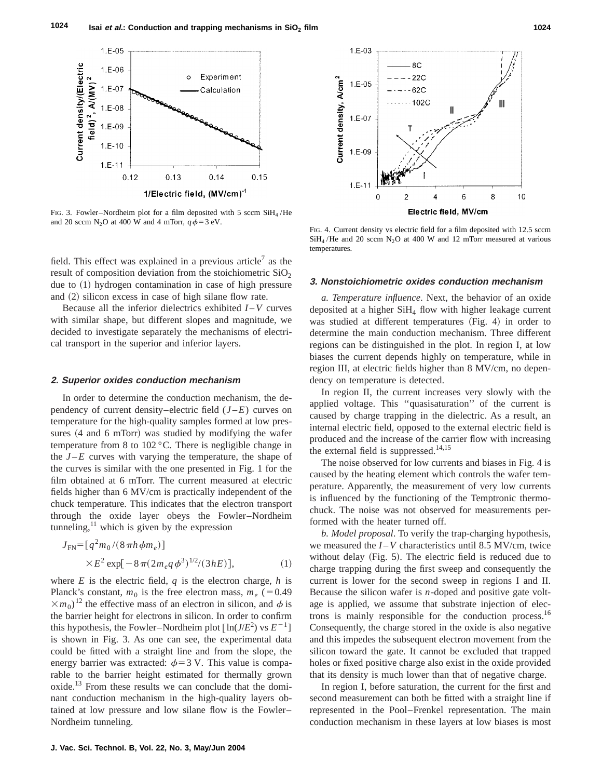

FIG. 3. Fowler–Nordheim plot for a film deposited with 5 sccm  $SiH<sub>4</sub>/He$ and 20 sccm N<sub>2</sub>O at 400 W and 4 mTorr,  $q\phi = 3$  eV.

field. This effect was explained in a previous article<sup>7</sup> as the result of composition deviation from the stoichiometric  $SiO<sub>2</sub>$ due to  $(1)$  hydrogen contamination in case of high pressure and  $(2)$  silicon excess in case of high silane flow rate.

Because all the inferior dielectrics exhibited *I* –*V* curves with similar shape, but different slopes and magnitude, we decided to investigate separately the mechanisms of electrical transport in the superior and inferior layers.

## **2. Superior oxides conduction mechanism**

In order to determine the conduction mechanism, the dependency of current density–electric field  $(J-E)$  curves on temperature for the high-quality samples formed at low pressures  $(4 \text{ and } 6 \text{ mTorr})$  was studied by modifying the wafer temperature from 8 to 102 °C. There is negligible change in the  $J$ – $E$  curves with varying the temperature, the shape of the curves is similar with the one presented in Fig. 1 for the film obtained at 6 mTorr. The current measured at electric fields higher than 6 MV/cm is practically independent of the chuck temperature. This indicates that the electron transport through the oxide layer obeys the Fowler–Nordheim tunneling, $\frac{11}{11}$  which is given by the expression

$$
J_{\rm FN} = [q^2 m_0 / (8 \pi h \phi m_e)]
$$
  
× $E^2$  exp[ $- 8 \pi (2 m_e q \phi^3)^{1/2} / (3 h E)$ ], (1)

where  $E$  is the electric field,  $q$  is the electron charge,  $h$  is Planck's constant,  $m_0$  is the free electron mass,  $m_e$  (=0.49)  $\times m_0$ <sup>12</sup> the effective mass of an electron in silicon, and  $\phi$  is the barrier height for electrons in silicon. In order to confirm this hypothesis, the Fowler–Nordheim plot  $[\ln(J/E^2)$  vs  $E^{-1}]$ is shown in Fig. 3. As one can see, the experimental data could be fitted with a straight line and from the slope, the energy barrier was extracted:  $\phi$  = 3 V. This value is comparable to the barrier height estimated for thermally grown oxide.<sup>13</sup> From these results we can conclude that the dominant conduction mechanism in the high-quality layers obtained at low pressure and low silane flow is the Fowler– Nordheim tunneling.



FIG. 4. Current density vs electric field for a film deposited with 12.5 sccm  $SiH<sub>4</sub>/He$  and 20 sccm N<sub>2</sub>O at 400 W and 12 mTorr measured at various temperatures.

# **3. Nonstoichiometric oxides conduction mechanism**

*a. Temperature influence*. Next, the behavior of an oxide deposited at a higher  $SiH<sub>4</sub>$  flow with higher leakage current was studied at different temperatures  $(Fig. 4)$  in order to determine the main conduction mechanism. Three different regions can be distinguished in the plot. In region I, at low biases the current depends highly on temperature, while in region III, at electric fields higher than 8 MV/cm, no dependency on temperature is detected.

In region II, the current increases very slowly with the applied voltage. This ''quasisaturation'' of the current is caused by charge trapping in the dielectric. As a result, an internal electric field, opposed to the external electric field is produced and the increase of the carrier flow with increasing the external field is suppressed. $14,15$ 

The noise observed for low currents and biases in Fig. 4 is caused by the heating element which controls the wafer temperature. Apparently, the measurement of very low currents is influenced by the functioning of the Temptronic thermochuck. The noise was not observed for measurements performed with the heater turned off.

*b. Model proposal*. To verify the trap-charging hypothesis, we measured the  $I - V$  characteristics until 8.5 MV/cm, twice without delay  $(Fig. 5)$ . The electric field is reduced due to charge trapping during the first sweep and consequently the current is lower for the second sweep in regions I and II. Because the silicon wafer is *n*-doped and positive gate voltage is applied, we assume that substrate injection of electrons is mainly responsible for the conduction process.<sup>16</sup> Consequently, the charge stored in the oxide is also negative and this impedes the subsequent electron movement from the silicon toward the gate. It cannot be excluded that trapped holes or fixed positive charge also exist in the oxide provided that its density is much lower than that of negative charge.

In region I, before saturation, the current for the first and second measurement can both be fitted with a straight line if represented in the Pool–Frenkel representation. The main conduction mechanism in these layers at low biases is most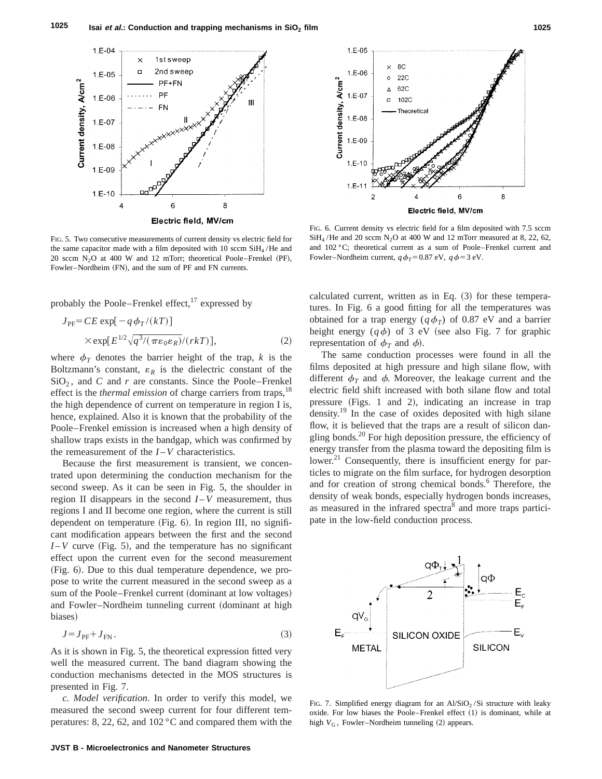

FIG. 5. Two consecutive measurements of current density vs electric field for the same capacitor made with a film deposited with 10 sccm SiH<sub>4</sub>/He and 20 sccm  $N_2O$  at 400 W and 12 mTorr; theoretical Poole–Frenkel (PF), Fowler–Nordheim (FN), and the sum of PF and FN currents.

probably the Poole–Frenkel effect, $^{17}$  expressed by

$$
J_{\rm PF} = CE \exp[-q \phi_T/(kT)]
$$
  
 
$$
\times \exp[E^{1/2} \sqrt{q^3/(\pi \varepsilon_0 \varepsilon_R)}/(rkT)],
$$
 (2)

where  $\phi_T$  denotes the barrier height of the trap, *k* is the Boltzmann's constant,  $\varepsilon_R$  is the dielectric constant of the  $SiO<sub>2</sub>$ , and *C* and *r* are constants. Since the Poole–Frenkel effect is the *thermal emission* of charge carriers from traps,<sup>18</sup> the high dependence of current on temperature in region I is, hence, explained. Also it is known that the probability of the Poole–Frenkel emission is increased when a high density of shallow traps exists in the bandgap, which was confirmed by the remeasurement of the  $I-V$  characteristics.

Because the first measurement is transient, we concentrated upon determining the conduction mechanism for the second sweep. As it can be seen in Fig. 5, the shoulder in region II disappears in the second  $I - V$  measurement, thus regions I and II become one region, where the current is still dependent on temperature  $(Fig. 6)$ . In region III, no significant modification appears between the first and the second  $I-V$  curve (Fig. 5), and the temperature has no significant effect upon the current even for the second measurement (Fig. 6). Due to this dual temperature dependence, we propose to write the current measured in the second sweep as a sum of the Poole–Frenkel current (dominant at low voltages) and Fowler–Nordheim tunneling current (dominant at high biases)

$$
J = J_{\text{PF}} + J_{\text{FN}}.\tag{3}
$$

As it is shown in Fig. 5, the theoretical expression fitted very well the measured current. The band diagram showing the conduction mechanisms detected in the MOS structures is presented in Fig. 7.

*c. Model verification*. In order to verify this model, we measured the second sweep current for four different temperatures: 8, 22, 62, and 102 °C and compared them with the



FIG. 6. Current density vs electric field for a film deposited with 7.5 sccm  $SiH<sub>4</sub>/He$  and 20 sccm N<sub>2</sub>O at 400 W and 12 mTorr measured at 8, 22, 62, and 102 °C; theoretical current as a sum of Poole–Frenkel current and Fowler–Nordheim current,  $q\phi_T=0.87$  eV,  $q\phi=3$  eV.

calculated current, written as in Eq.  $(3)$  for these temperatures. In Fig. 6 a good fitting for all the temperatures was obtained for a trap energy ( $q\phi_T$ ) of 0.87 eV and a barrier height energy  $(q\phi)$  of 3 eV (see also Fig. 7 for graphic representation of  $\phi_T$  and  $\phi$ ).

The same conduction processes were found in all the films deposited at high pressure and high silane flow, with different  $\phi_T$  and  $\phi$ . Moreover, the leakage current and the electric field shift increased with both silane flow and total pressure  $(Figs. 1$  and 2), indicating an increase in trap density.<sup>19</sup> In the case of oxides deposited with high silane flow, it is believed that the traps are a result of silicon dangling bonds. $^{20}$  For high deposition pressure, the efficiency of energy transfer from the plasma toward the depositing film is lower.<sup>21</sup> Consequently, there is insufficient energy for particles to migrate on the film surface, for hydrogen desorption and for creation of strong chemical bonds.<sup>6</sup> Therefore, the density of weak bonds, especially hydrogen bonds increases, as measured in the infrared spectra<sup>8</sup> and more traps participate in the low-field conduction process.



FIG. 7. Simplified energy diagram for an  $Al/SiO<sub>2</sub>/Si$  structure with leaky oxide. For low biases the Poole–Frenkel effect  $(1)$  is dominant, while at high  $V_G$ , Fowler–Nordheim tunneling  $(2)$  appears.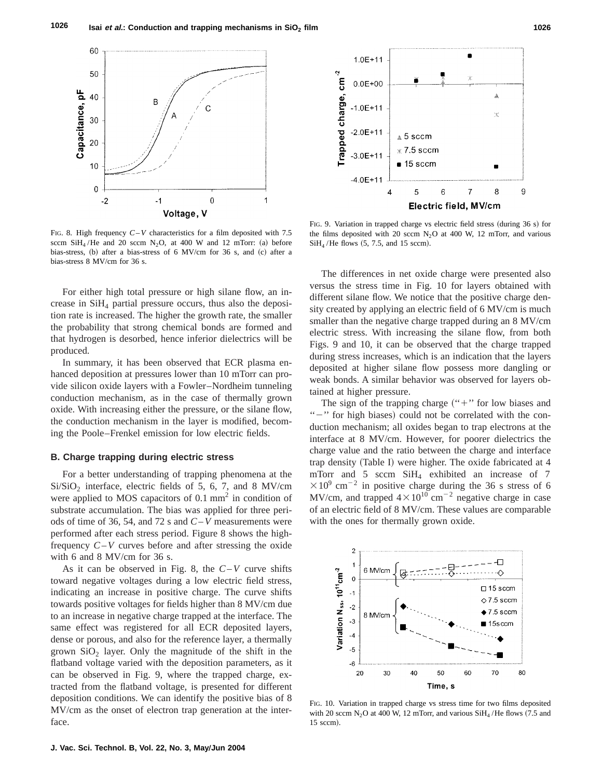

FIG. 8. High frequency *C*–*V* characteristics for a film deposited with 7.5 sccm SiH<sub>4</sub>/He and 20 sccm N<sub>2</sub>O, at 400 W and 12 mTorr: (a) before bias-stress,  $(b)$  after a bias-stress of 6 MV/cm for 36 s, and  $(c)$  after a bias-stress 8 MV/cm for 36 s.

For either high total pressure or high silane flow, an increase in SiH4 partial pressure occurs, thus also the deposition rate is increased. The higher the growth rate, the smaller the probability that strong chemical bonds are formed and that hydrogen is desorbed, hence inferior dielectrics will be produced.

In summary, it has been observed that ECR plasma enhanced deposition at pressures lower than 10 mTorr can provide silicon oxide layers with a Fowler–Nordheim tunneling conduction mechanism, as in the case of thermally grown oxide. With increasing either the pressure, or the silane flow, the conduction mechanism in the layer is modified, becoming the Poole–Frenkel emission for low electric fields.

## **B. Charge trapping during electric stress**

For a better understanding of trapping phenomena at the  $Si/SiO<sub>2</sub>$  interface, electric fields of 5, 6, 7, and 8 MV/cm were applied to MOS capacitors of  $0.1 \text{ mm}^2$  in condition of substrate accumulation. The bias was applied for three periods of time of 36, 54, and 72 s and *C*–*V* measurements were performed after each stress period. Figure 8 shows the highfrequency *C*–*V* curves before and after stressing the oxide with 6 and 8 MV/cm for 36 s.

As it can be observed in Fig. 8, the *C*–*V* curve shifts toward negative voltages during a low electric field stress, indicating an increase in positive charge. The curve shifts towards positive voltages for fields higher than 8 MV/cm due to an increase in negative charge trapped at the interface. The same effect was registered for all ECR deposited layers, dense or porous, and also for the reference layer, a thermally grown  $SiO<sub>2</sub>$  layer. Only the magnitude of the shift in the flatband voltage varied with the deposition parameters, as it can be observed in Fig. 9, where the trapped charge, extracted from the flatband voltage, is presented for different deposition conditions. We can identify the positive bias of 8 MV/cm as the onset of electron trap generation at the interface.



FIG. 9. Variation in trapped charge vs electric field stress (during  $36 s$ ) for the films deposited with 20 sccm  $N_2O$  at 400 W, 12 mTorr, and various  $SiH<sub>4</sub>/He$  flows (5, 7.5, and 15 sccm).

The differences in net oxide charge were presented also versus the stress time in Fig. 10 for layers obtained with different silane flow. We notice that the positive charge density created by applying an electric field of 6 MV/cm is much smaller than the negative charge trapped during an 8 MV/cm electric stress. With increasing the silane flow, from both Figs. 9 and 10, it can be observed that the charge trapped during stress increases, which is an indication that the layers deposited at higher silane flow possess more dangling or weak bonds. A similar behavior was observed for layers obtained at higher pressure.

The sign of the trapping charge  $("+"$  for low biases and "-" for high biases) could not be correlated with the conduction mechanism; all oxides began to trap electrons at the interface at 8 MV/cm. However, for poorer dielectrics the charge value and the ratio between the charge and interface trap density (Table I) were higher. The oxide fabricated at 4 mTorr and 5 sccm  $SiH<sub>4</sub>$  exhibited an increase of 7  $\times10^{9}$  cm<sup>-2</sup> in positive charge during the 36 s stress of 6 MV/cm, and trapped  $4 \times 10^{10}$  cm<sup>-2</sup> negative charge in case of an electric field of 8 MV/cm. These values are comparable with the ones for thermally grown oxide.



FIG. 10. Variation in trapped charge vs stress time for two films deposited with 20 sccm N<sub>2</sub>O at 400 W, 12 mTorr, and various  $SiH<sub>4</sub>$  /He flows (7.5 and 15 sccm).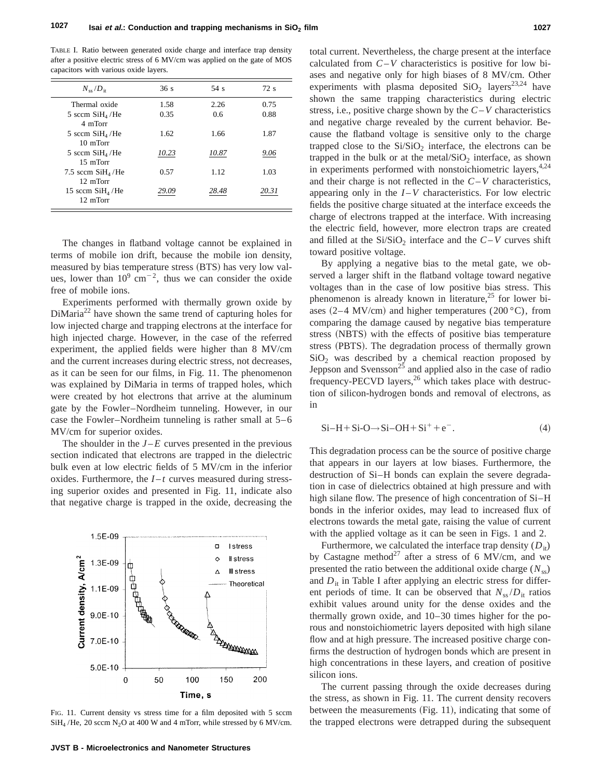TABLE I. Ratio between generated oxide charge and interface trap density after a positive electric stress of 6 MV/cm was applied on the gate of MOS capacitors with various oxide layers.

| $N_{\rm ss}/D_{\rm tr}$                | 36s   | 54s   | 72s   |
|----------------------------------------|-------|-------|-------|
| Thermal oxide                          | 1.58  | 2.26  | 0.75  |
| 5 sccm $SiH_4$ /He<br>4 mTorr          | 0.35  | 0.6   | 0.88  |
| 5 sccm $SiH_4$ /He<br>10 <sub>mm</sub> | 1.62  | 1.66  | 1.87  |
| 5 sccm $SiH4/He$<br>15 mTorr           | 10.23 | 10.87 | 9.06  |
| 7.5 sccm $SiH4/He$<br>12 mTorr         | 0.57  | 1.12  | 1.03  |
| 15 sccm $SiH4/He$<br>12 mTorr          | 29.09 | 28.48 | 20.31 |

The changes in flatband voltage cannot be explained in terms of mobile ion drift, because the mobile ion density, measured by bias temperature stress (BTS) has very low values, lower than  $10^9$  cm<sup>-2</sup>, thus we can consider the oxide free of mobile ions.

Experiments performed with thermally grown oxide by  $DiMaria<sup>22</sup>$  have shown the same trend of capturing holes for low injected charge and trapping electrons at the interface for high injected charge. However, in the case of the referred experiment, the applied fields were higher than 8 MV/cm and the current increases during electric stress, not decreases, as it can be seen for our films, in Fig. 11. The phenomenon was explained by DiMaria in terms of trapped holes, which were created by hot electrons that arrive at the aluminum gate by the Fowler–Nordheim tunneling. However, in our case the Fowler–Nordheim tunneling is rather small at 5–6 MV/cm for superior oxides.

The shoulder in the  $J - E$  curves presented in the previous section indicated that electrons are trapped in the dielectric bulk even at low electric fields of 5 MV/cm in the inferior oxides. Furthermore, the  $I-t$  curves measured during stressing superior oxides and presented in Fig. 11, indicate also that negative charge is trapped in the oxide, decreasing the



FIG. 11. Current density vs stress time for a film deposited with 5 sccm  $SiH<sub>4</sub>$ /He, 20 sccm N<sub>2</sub>O at 400 W and 4 mTorr, while stressed by 6 MV/cm.

total current. Nevertheless, the charge present at the interface calculated from *C*–*V* characteristics is positive for low biases and negative only for high biases of 8 MV/cm. Other experiments with plasma deposited  $SiO<sub>2</sub>$  layers<sup>23,24</sup> have shown the same trapping characteristics during electric stress, i.e., positive charge shown by the *C*–*V* characteristics and negative charge revealed by the current behavior. Because the flatband voltage is sensitive only to the charge trapped close to the  $Si/SiO<sub>2</sub>$  interface, the electrons can be trapped in the bulk or at the metal/ $SiO<sub>2</sub>$  interface, as shown in experiments performed with nonstoichiometric layers,  $4.24$ and their charge is not reflected in the *C*–*V* characteristics, appearing only in the  $I - V$  characteristics. For low electric fields the positive charge situated at the interface exceeds the charge of electrons trapped at the interface. With increasing the electric field, however, more electron traps are created and filled at the  $Si/SiO<sub>2</sub>$  interface and the  $C-V$  curves shift toward positive voltage.

By applying a negative bias to the metal gate, we observed a larger shift in the flatband voltage toward negative voltages than in the case of low positive bias stress. This phenomenon is already known in literature,<sup>25</sup> for lower biases  $(2-4$  MV/cm) and higher temperatures  $(200 °C)$ , from comparing the damage caused by negative bias temperature stress (NBTS) with the effects of positive bias temperature stress (PBTS). The degradation process of thermally grown  $SiO<sub>2</sub>$  was described by a chemical reaction proposed by Jeppson and Svensson<sup>25</sup> and applied also in the case of radio frequency-PECVD layers, $^{26}$  which takes place with destruction of silicon-hydrogen bonds and removal of electrons, as in

$$
Si-H+Si-O \rightarrow Si-OH+Si^{+}+e^{-}.
$$
 (4)

This degradation process can be the source of positive charge that appears in our layers at low biases. Furthermore, the destruction of Si–H bonds can explain the severe degradation in case of dielectrics obtained at high pressure and with high silane flow. The presence of high concentration of Si–H bonds in the inferior oxides, may lead to increased flux of electrons towards the metal gate, raising the value of current with the applied voltage as it can be seen in Figs. 1 and 2.

Furthermore, we calculated the interface trap density  $(D_{it})$ by Castagne method<sup>27</sup> after a stress of 6 MV/cm, and we presented the ratio between the additional oxide charge  $(N_{ss})$ and  $D_{it}$  in Table I after applying an electric stress for different periods of time. It can be observed that  $N_{ss}/D_{it}$  ratios exhibit values around unity for the dense oxides and the thermally grown oxide, and 10–30 times higher for the porous and nonstoichiometric layers deposited with high silane flow and at high pressure. The increased positive charge confirms the destruction of hydrogen bonds which are present in high concentrations in these layers, and creation of positive silicon ions.

The current passing through the oxide decreases during the stress, as shown in Fig. 11. The current density recovers between the measurements  $(Fig. 11)$ , indicating that some of the trapped electrons were detrapped during the subsequent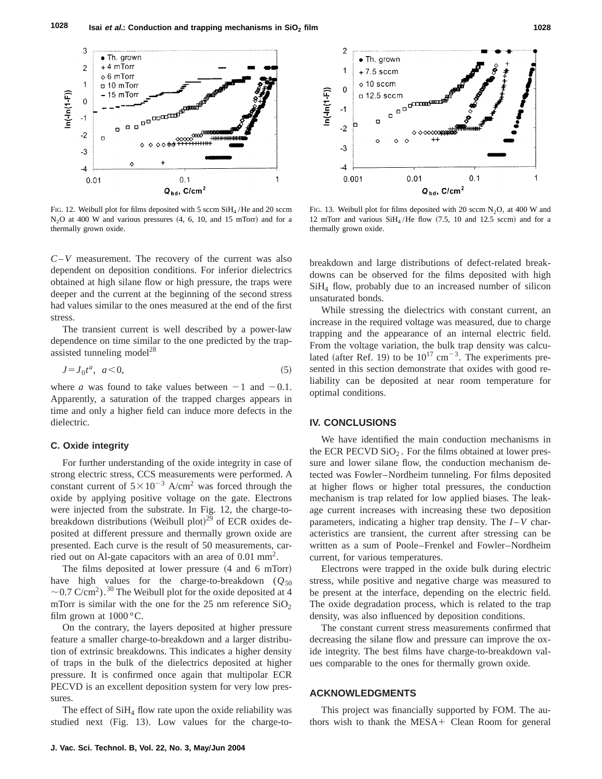

FIG. 12. Weibull plot for films deposited with 5 sccm SiH<sub>4</sub>/He and 20 sccm  $N<sub>2</sub>O$  at 400 W and various pressures  $(4, 6, 10,$  and 15 mTorr) and for a thermally grown oxide.

*C*–*V* measurement. The recovery of the current was also dependent on deposition conditions. For inferior dielectrics obtained at high silane flow or high pressure, the traps were deeper and the current at the beginning of the second stress had values similar to the ones measured at the end of the first stress.

The transient current is well described by a power-law dependence on time similar to the one predicted by the trapassisted tunneling model $^{28}$ 

$$
J = J_0 t^a, \ \ a < 0,\tag{5}
$$

where *a* was found to take values between  $-1$  and  $-0.1$ . Apparently, a saturation of the trapped charges appears in time and only a higher field can induce more defects in the dielectric.

#### **C. Oxide integrity**

For further understanding of the oxide integrity in case of strong electric stress, CCS measurements were performed. A constant current of  $5 \times 10^{-3}$  A/cm<sup>2</sup> was forced through the oxide by applying positive voltage on the gate. Electrons were injected from the substrate. In Fig. 12, the charge-tobreakdown distributions (Weibull plot)<sup>29</sup> of ECR oxides deposited at different pressure and thermally grown oxide are presented. Each curve is the result of 50 measurements, carried out on Al-gate capacitors with an area of  $0.01 \text{ mm}^2$ .

The films deposited at lower pressure  $(4 \text{ and } 6 \text{ mTorr})$ have high values for the charge-to-breakdown  $(Q_{50})$  $\sim$  0.7 C/cm<sup>2</sup>).<sup>30</sup> The Weibull plot for the oxide deposited at 4 mTorr is similar with the one for the 25 nm reference  $SiO<sub>2</sub>$ film grown at  $1000^{\circ}$ C.

On the contrary, the layers deposited at higher pressure feature a smaller charge-to-breakdown and a larger distribution of extrinsic breakdowns. This indicates a higher density of traps in the bulk of the dielectrics deposited at higher pressure. It is confirmed once again that multipolar ECR PECVD is an excellent deposition system for very low pressures.

The effect of  $SiH<sub>4</sub>$  flow rate upon the oxide reliability was studied next  $(Fig. 13)$ . Low values for the charge-to-



FIG. 13. Weibull plot for films deposited with 20 sccm  $N_2O$ , at 400 W and 12 mTorr and various  $SiH<sub>4</sub>/He$  flow (7.5, 10 and 12.5 sccm) and for a thermally grown oxide.

breakdown and large distributions of defect-related breakdowns can be observed for the films deposited with high SiH4 flow, probably due to an increased number of silicon unsaturated bonds.

While stressing the dielectrics with constant current, an increase in the required voltage was measured, due to charge trapping and the appearance of an internal electric field. From the voltage variation, the bulk trap density was calculated (after Ref. 19) to be  $10^{17}$  cm<sup>-3</sup>. The experiments presented in this section demonstrate that oxides with good reliability can be deposited at near room temperature for optimal conditions.

## **IV. CONCLUSIONS**

We have identified the main conduction mechanisms in the ECR PECVD  $SiO<sub>2</sub>$ . For the films obtained at lower pressure and lower silane flow, the conduction mechanism detected was Fowler–Nordheim tunneling. For films deposited at higher flows or higher total pressures, the conduction mechanism is trap related for low applied biases. The leakage current increases with increasing these two deposition parameters, indicating a higher trap density. The *I* –*V* characteristics are transient, the current after stressing can be written as a sum of Poole–Frenkel and Fowler–Nordheim current, for various temperatures.

Electrons were trapped in the oxide bulk during electric stress, while positive and negative charge was measured to be present at the interface, depending on the electric field. The oxide degradation process, which is related to the trap density, was also influenced by deposition conditions.

The constant current stress measurements confirmed that decreasing the silane flow and pressure can improve the oxide integrity. The best films have charge-to-breakdown values comparable to the ones for thermally grown oxide.

### **ACKNOWLEDGMENTS**

This project was financially supported by FOM. The authors wish to thank the  $MESA+$  Clean Room for general